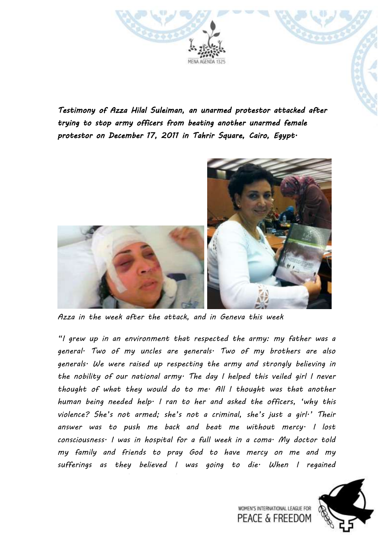

*Testimony of Azza Hilal Suleiman, an unarmed protestor attacked after trying to stop army officers from beating another unarmed female protestor on December 17, 2011 in Tahrir Square, Cairo, Egypt.* 



*Azza in the week after the attack, and in Geneva this week*

*"I grew up in an environment that respected the army: my father was a general. Two of my uncles are generals. Two of my brothers are also generals. We were raised up respecting the army and strongly believing in the nobility of our national army. The day I helped this veiled girl I never thought of what they would do to me. All I thought was that another human being needed help. I ran to her and asked the officers, 'why this violence? She's not armed; she's not a criminal, she's just a girl.' Their answer was to push me back and beat me without mercy. I lost consciousness. I was in hospital for a full week in a coma. My doctor told my family and friends to pray God to have mercy on me and my sufferings as they believed I was going to die. When I regained* 



WOMEN'S INTERNATIONAL LEAGUE FOR **PEACE & FREEDOM**